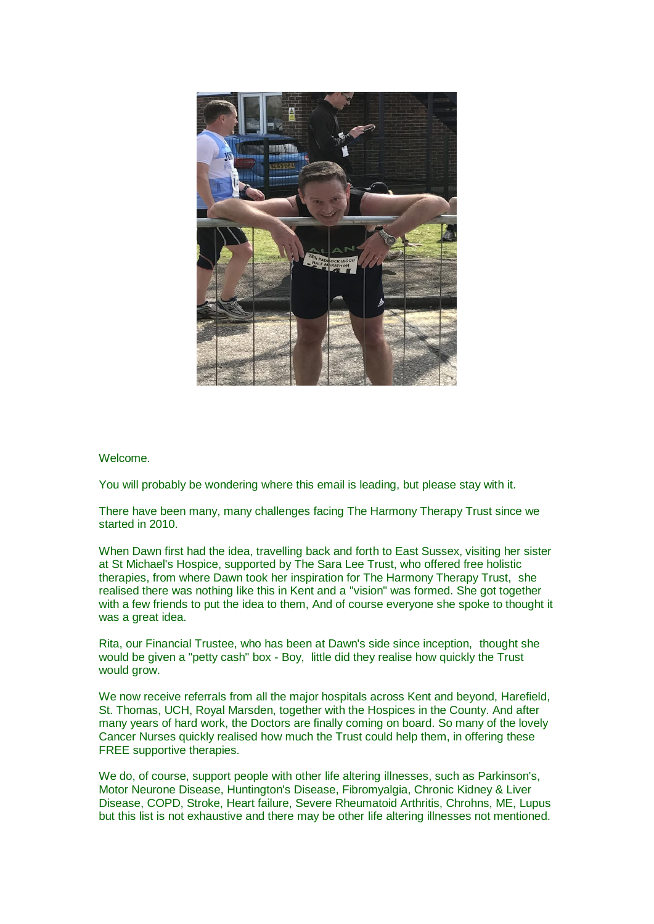

## Welcome.

You will probably be wondering where this email is leading, but please stay with it.

There have been many, many challenges facing The Harmony Therapy Trust since we started in 2010.

When Dawn first had the idea, travelling back and forth to East Sussex, visiting her sister at St Michael's Hospice, supported by The Sara Lee Trust, who offered free holistic therapies, from where Dawn took her inspiration for The Harmony Therapy Trust, she realised there was nothing like this in Kent and a "vision" was formed. She got together with a few friends to put the idea to them, And of course everyone she spoke to thought it was a great idea.

Rita, our Financial Trustee, who has been at Dawn's side since inception, thought she would be given a "petty cash" box - Boy, little did they realise how quickly the Trust would grow.

We now receive referrals from all the major hospitals across Kent and beyond, Harefield, St. Thomas, UCH, Royal Marsden, together with the Hospices in the County. And after many years of hard work, the Doctors are finally coming on board. So many of the lovely Cancer Nurses quickly realised how much the Trust could help them, in offering these FREE supportive therapies.

We do, of course, support people with other life altering illnesses, such as Parkinson's, Motor Neurone Disease, Huntington's Disease, Fibromyalgia, Chronic Kidney & Liver Disease, COPD, Stroke, Heart failure, Severe Rheumatoid Arthritis, Chrohns, ME, Lupus but this list is not exhaustive and there may be other life altering illnesses not mentioned.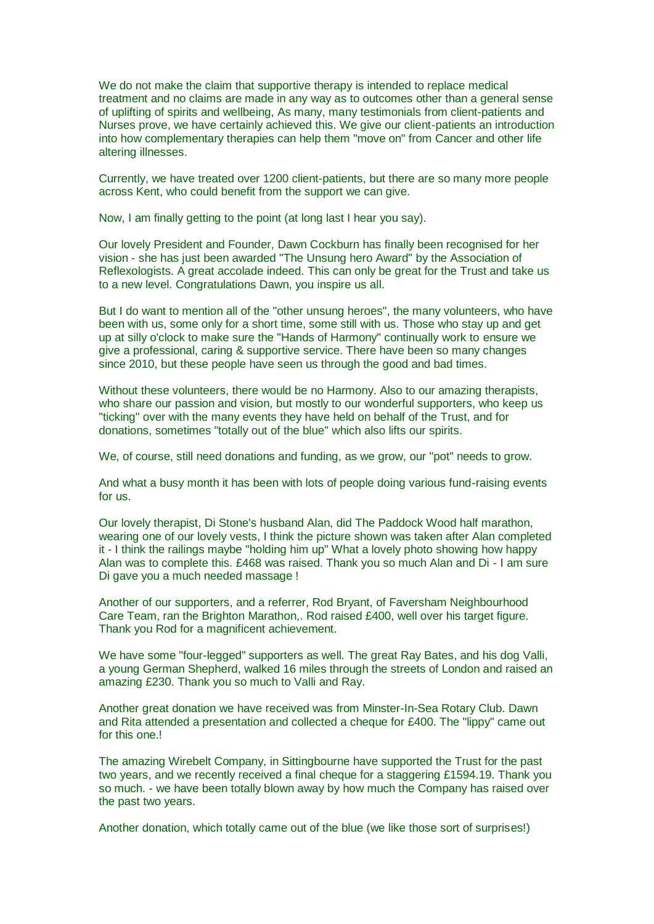We do not make the claim that supportive therapy is intended to replace medical treatment and no claims are made in any way as to outcomes other than a general sense of uplifting of spirits and wellbeing, As many, many testimonials from client-patients and Nurses prove, we have certainly achieved this. We give our client-patients an introduction into how complementary therapies can help them "move on" from Cancer and other life altering illnesses.

Currently, we have treated over 1200 client-patients, but there are so many more people across Kent, who could benefit from the support we can give.

Now, I am finally getting to the point (at long last I hear you say).

Our lovely President and Founder, Dawn Cockburn has finally been recognised for her vision - she has just been awarded "The Unsung hero Award" by the Association of Reflexologists. A great accolade indeed. This can only be great for the Trust and take us to a new level. Congratulations Dawn, you inspire us all.

But I do want to mention all of the "other unsung heroes", the many volunteers, who have been with us, some only for a short time, some still with us. Those who stay up and get up at silly o'clock to make sure the "Hands of Harmony" continually work to ensure we give a professional, caring & supportive service. There have been so many changes since 2010, but these people have seen us through the good and bad times.

Without these volunteers, there would be no Harmony. Also to our amazing therapists, who share our passion and vision, but mostly to our wonderful supporters, who keep us "ticking" over with the many events they have held on behalf of the Trust, and for donations, sometimes "totally out of the blue" which also lifts our spirits.

We, of course, still need donations and funding, as we grow, our "pot" needs to grow.

And what a busy month it has been with lots of people doing various fund-raising events for us.

Our lovely therapist, Di Stone's husband Alan, did The Paddock Wood half marathon, wearing one of our lovely vests, I think the picture shown was taken after Alan completed it - I think the railings maybe "holding him up" What a lovely photo showing how happy Alan was to complete this. £468 was raised. Thank you so much Alan and Di - I am sure Di gave you a much needed massage !

Another of our supporters, and a referrer, Rod Bryant, of Faversham Neighbourhood Care Team, ran the Brighton Marathon,. Rod raised £400, well over his target figure. Thank you Rod for a magnificent achievement.

We have some "four-legged" supporters as well. The great Ray Bates, and his dog Valli, a young German Shepherd, walked 16 miles through the streets of London and raised an amazing £230. Thank you so much to Valli and Ray.

Another great donation we have received was from Minster-In-Sea Rotary Club. Dawn and Rita attended a presentation and collected a cheque for £400. The "lippy" came out for this one.<sup>1</sup>

The amazing Wirebelt Company, in Sittingbourne have supported the Trust for the past two years, and we recently received a final cheque for a staggering £1594.19. Thank you so much. - we have been totally blown away by how much the Company has raised over the past two years.

Another donation, which totally came out of the blue (we like those sort of surprises!)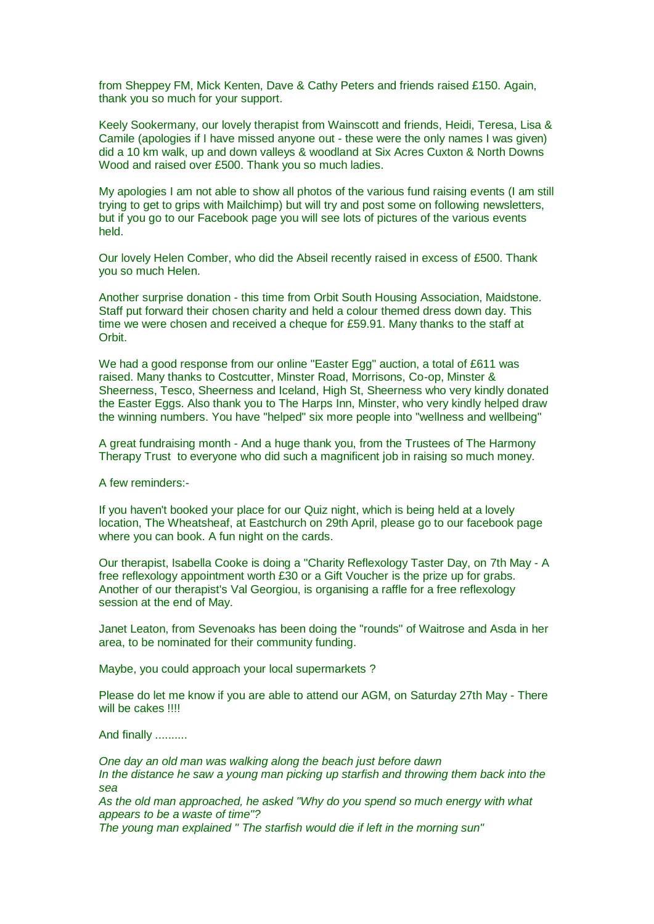from Sheppey FM, Mick Kenten, Dave & Cathy Peters and friends raised £150. Again, thank you so much for your support.

Keely Sookermany, our lovely therapist from Wainscott and friends, Heidi, Teresa, Lisa & Camile (apologies if I have missed anyone out - these were the only names I was given) did a 10 km walk, up and down valleys & woodland at Six Acres Cuxton & North Downs Wood and raised over £500. Thank you so much ladies.

My apologies I am not able to show all photos of the various fund raising events (I am still trying to get to grips with Mailchimp) but will try and post some on following newsletters, but if you go to our Facebook page you will see lots of pictures of the various events held.

Our lovely Helen Comber, who did the Abseil recently raised in excess of £500. Thank you so much Helen.

Another surprise donation - this time from Orbit South Housing Association, Maidstone. Staff put forward their chosen charity and held a colour themed dress down day. This time we were chosen and received a cheque for £59.91. Many thanks to the staff at Orbit.

We had a good response from our online "Easter Egg" auction, a total of £611 was raised. Many thanks to Costcutter, Minster Road, Morrisons, Co-op, Minster & Sheerness, Tesco, Sheerness and Iceland, High St, Sheerness who very kindly donated the Easter Eggs. Also thank you to The Harps Inn, Minster, who very kindly helped draw the winning numbers. You have "helped" six more people into "wellness and wellbeing"

A great fundraising month - And a huge thank you, from the Trustees of The Harmony Therapy Trust to everyone who did such a magnificent job in raising so much money.

A few reminders:-

If you haven't booked your place for our Quiz night, which is being held at a lovely location, The Wheatsheaf, at Eastchurch on 29th April, please go to our facebook page where you can book. A fun night on the cards.

Our therapist, Isabella Cooke is doing a "Charity Reflexology Taster Day, on 7th May - A free reflexology appointment worth £30 or a Gift Voucher is the prize up for grabs. Another of our therapist's Val Georgiou, is organising a raffle for a free reflexology session at the end of May.

Janet Leaton, from Sevenoaks has been doing the "rounds" of Waitrose and Asda in her area, to be nominated for their community funding.

Maybe, you could approach your local supermarkets ?

Please do let me know if you are able to attend our AGM, on Saturday 27th May - There will be cakes !!!!

And finally ..........

*One day an old man was walking along the beach just before dawn In the distance he saw a young man picking up starfish and throwing them back into the sea*

*As the old man approached, he asked "Why do you spend so much energy with what appears to be a waste of time"?*

*The young man explained " The starfish would die if left in the morning sun"*